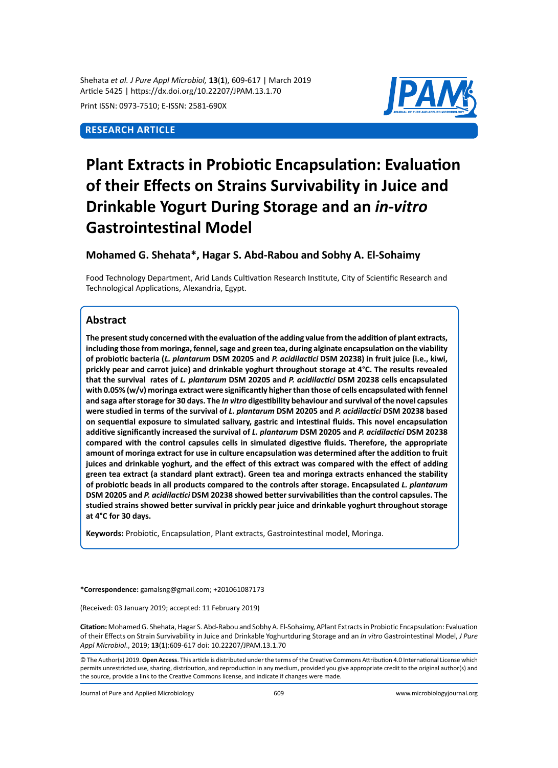Shehata *et al. J Pure Appl Microbiol,* **13**(**1**), 609-617 | March 2019 Article 5425 | https://dx.doi.org/10.22207/JPAM.13.1.70

Print ISSN: 0973-7510; E-ISSN: 2581-690X

# **Research Article**



# **Plant Extracts in Probiotic Encapsulation: Evaluation of their Effects on Strains Survivability in Juice and Drinkable Yogurt During Storage and an** *in-vitro* **Gastrointestinal Model**

# **Mohamed G. Shehata\*, Hagar S. Abd-Rabou and Sobhy A. El-Sohaimy**

Food Technology Department, Arid Lands Cultivation Research Institute, City of Scientific Research and Technological Applications, Alexandria, Egypt.

## **Abstract**

**The present study concerned with the evaluation of the adding value from the addition of plant extracts, including those from moringa, fennel, sage and green tea, during alginate encapsulation on the viability of probiotic bacteria (***L. plantarum* **DSM 20205 and** *P. acidilactici* **DSM 20238) in fruit juice (i.e., kiwi, prickly pear and carrot juice) and drinkable yoghurt throughout storage at 4°C. The results revealed that the survival rates of** *L. plantarum* **DSM 20205 and** *P. acidilactici* **DSM 20238 cells encapsulated with 0.05% (w/v) moringa extract were significantly higher than those of cells encapsulated with fennel and saga after storage for 30 days. The** *In vitro* **digestibility behaviour and survival of the novel capsules were studied in terms of the survival of** *L. plantarum* **DSM 20205 and** *P. acidilactici* **DSM 20238 based on sequential exposure to simulated salivary, gastric and intestinal fluids. This novel encapsulation additive significantly increased the survival of** *L. plantarum* **DSM 20205 and** *P. acidilactici* **DSM 20238 compared with the control capsules cells in simulated digestive fluids. Therefore, the appropriate amount of moringa extract for use in culture encapsulation was determined after the addition to fruit juices and drinkable yoghurt, and the effect of this extract was compared with the effect of adding green tea extract (a standard plant extract). Green tea and moringa extracts enhanced the stability of probiotic beads in all products compared to the controls after storage. Encapsulated** *L. plantarum* **DSM 20205 and** *P. acidilactici* **DSM 20238 showed better survivabilities than the control capsules. The studied strains showed better survival in prickly pear juice and drinkable yoghurt throughout storage at 4°C for 30 days.**

**Keywords:** Probiotic, Encapsulation, Plant extracts, Gastrointestinal model, Moringa.

**\*Correspondence:** gamalsng@gmail.com; +201061087173

(Received: 03 January 2019; accepted: 11 February 2019)

**Citation:** Mohamed G. Shehata, Hagar S. Abd-Rabou and Sobhy A. El-Sohaimy, APlant Extracts in Probiotic Encapsulation: Evaluation of their Effects on Strain Survivability in Juice and Drinkable Yoghurtduring Storage and an *In vitro* Gastrointestinal Model, *J Pure Appl Microbiol*., 2019; **13**(**1**):609-617 doi: 10.22207/JPAM.13.1.70

© The Author(s) 2019. **Open Access**. This article is distributed under the terms of the Creative Commons Attribution 4.0 International License which permits unrestricted use, sharing, distribution, and reproduction in any medium, provided you give appropriate credit to the original author(s) and the source, provide a link to the Creative Commons license, and indicate if changes were made.

Journal of Pure and Applied Microbiology 609 www.microbiologyjournal.org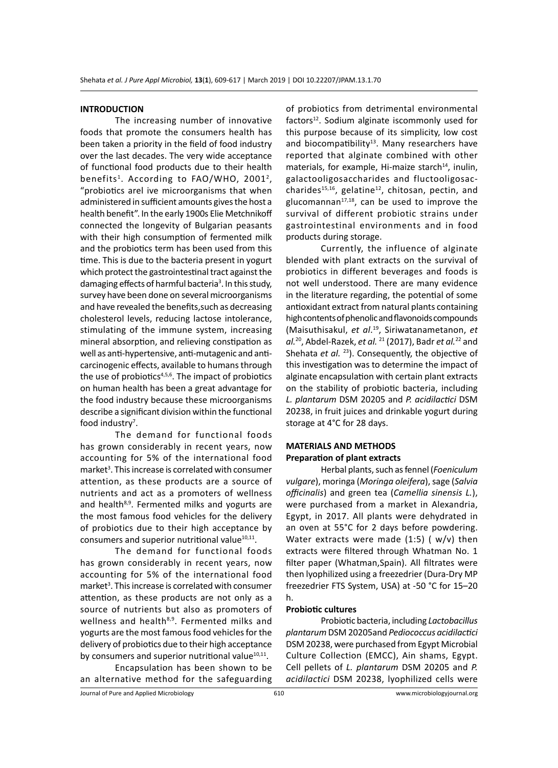#### **INTRODUCTION**

The increasing number of innovative foods that promote the consumers health has been taken a priority in the field of food industry over the last decades. The very wide acceptance of functional food products due to their health benefits<sup>1</sup>. According to  $FAO/WHO$ , 2001<sup>2</sup>, "probiotics arel ive microorganisms that when administered in sufficient amounts gives the host a health benefit". In the early 1900s Elie Metchnikoff connected the longevity of Bulgarian peasants with their high consumption of fermented milk and the probiotics term has been used from this time. This is due to the bacteria present in yogurt which protect the gastrointestinal tract against the damaging effects of harmful bacteria<sup>3</sup>. In this study, survey have been done on several microorganisms and have revealed the benefits,such as decreasing cholesterol levels, reducing lactose intolerance, stimulating of the immune system, increasing mineral absorption, and relieving constipation as well as anti-hypertensive, anti-mutagenic and anticarcinogenic effects, available to humans through the use of probiotics $4,5,6$ . The impact of probiotics on human health has been a great advantage for the food industry because these microorganisms describe a significant division within the functional food industry<sup>7</sup>.

The demand for functional foods has grown considerably in recent years, now accounting for 5% of the international food market<sup>3</sup>. This increase is correlated with consumer attention, as these products are a source of nutrients and act as a promoters of wellness and health $8.9$ . Fermented milks and yogurts are the most famous food vehicles for the delivery of probiotics due to their high acceptance by consumers and superior nutritional value $10,11$ .

The demand for functional foods has grown considerably in recent years, now accounting for 5% of the international food market<sup>3</sup>. This increase is correlated with consumer attention, as these products are not only as a source of nutrients but also as promoters of wellness and health<sup>8,9</sup>. Fermented milks and yogurts are the most famous food vehicles for the delivery of probiotics due to their high acceptance by consumers and superior nutritional value $^{10,11}$ .

Encapsulation has been shown to be an alternative method for the safeguarding of probiotics from detrimental environmental factors<sup>12</sup>. Sodium alginate iscommonly used for this purpose because of its simplicity, low cost and biocompatibility<sup>13</sup>. Many researchers have reported that alginate combined with other materials, for example, Hi-maize starch $14$ , inulin, galactooligosaccharides and fluctooligosaccharides<sup>15,16</sup>, gelatine<sup>12</sup>, chitosan, pectin, and glucomannan $17,18$ , can be used to improve the survival of different probiotic strains under gastrointestinal environments and in food products during storage.

Currently, the influence of alginate blended with plant extracts on the survival of probiotics in different beverages and foods is not well understood. There are many evidence in the literature regarding, the potential of some antioxidant extract from natural plants containing high contents of phenolic and flavonoids compounds (Maisuthisakul, *et al*. <sup>19</sup>, Siriwatanametanon, *et al.*<sup>20</sup>, Abdel-Razek, *et al.* 21 (2017), Badr *et al.*22 and Shehata *et al.* <sup>23</sup>). Consequently, the objective of this investigation was to determine the impact of alginate encapsulation with certain plant extracts on the stability of probiotic bacteria, including *L. plantarum* DSM 20205 and *P. acidilactici* DSM 20238, in fruit juices and drinkable yogurt during storage at 4°C for 28 days.

## **MATERIALS AND METHODS Preparation of plant extracts**

Herbal plants, such as fennel (*Foeniculum vulgare*), moringa (*Moringa oleifera*), sage (*Salvia officinalis*) and green tea (*Camellia sinensis L.*), were purchased from a market in Alexandria, Egypt, in 2017. All plants were dehydrated in an oven at 55°C for 2 days before powdering. Water extracts were made  $(1:5)$  ( w/v) then extracts were filtered through Whatman No. 1 filter paper (Whatman,Spain). All filtrates were then lyophilized using a freezedrier (Dura-Dry MP freezedrier FTS System, USA) at -50 °C for 15–20 h.

#### **Probiotic cultures**

Probiotic bacteria, including *Lactobacillus plantarum* DSM 20205and *Pediococcus acidilactici* DSM 20238, were purchased from Egypt Microbial Culture Collection (EMCC), Ain shams, Egypt. Cell pellets of *L. plantarum* DSM 20205 and *P. acidilactici* DSM 20238, lyophilized cells were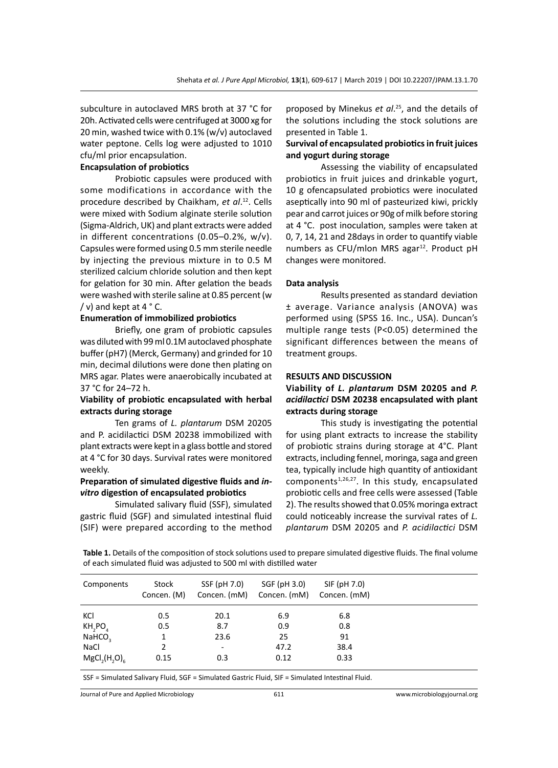subculture in autoclaved MRS broth at 37 °C for 20h. Activated cells were centrifuged at 3000 xg for 20 min, washed twice with 0.1% (w/v) autoclaved water peptone. Cells log were adjusted to 1010 cfu/ml prior encapsulation.

#### **Encapsulation of probiotics**

Probiotic capsules were produced with some modifications in accordance with the procedure described by Chaikham, *et al*. <sup>12</sup>. Cells were mixed with Sodium alginate sterile solution (Sigma-Aldrich, UK) and plant extracts were added in different concentrations (0.05–0.2%, w/v). Capsules were formed using 0.5 mm sterile needle by injecting the previous mixture in to 0.5 M sterilized calcium chloride solution and then kept for gelation for 30 min. After gelation the beads were washed with sterile saline at 0.85 percent (w  $/ v$ ) and kept at 4  $\degree$  C.

#### **Enumeration of immobilized probiotics**

Briefly, one gram of probiotic capsules was diluted with 99 ml 0.1M autoclaved phosphate buffer (pH7) (Merck, Germany) and grinded for 10 min, decimal dilutions were done then plating on MRS agar. Plates were anaerobically incubated at 37 °C for 24–72 h.

#### **Viability of probiotic encapsulated with herbal extracts during storage**

Ten grams of *L. plantarum* DSM 20205 and P. acidilactici DSM 20238 immobilized with plant extracts were kept in a glass bottle and stored at 4 °C for 30 days. Survival rates were monitored weekly.

#### **Preparation of simulated digestive fluids and** *invitro* **digestion of encapsulated probiotics**

Simulated salivary fluid (SSF), simulated gastric fluid (SGF) and simulated intestinal fluid (SIF) were prepared according to the method

proposed by Minekus *et al*. <sup>25</sup>, and the details of the solutions including the stock solutions are presented in Table 1.

## **Survival of encapsulated probiotics in fruit juices and yogurt during storage**

Assessing the viability of encapsulated probiotics in fruit juices and drinkable yogurt, 10 g ofencapsulated probiotics were inoculated aseptically into 90 ml of pasteurized kiwi, prickly pear and carrot juices or 90g of milk before storing at 4 °C. post inoculation, samples were taken at 0, 7, 14, 21 and 28days in order to quantify viable numbers as CFU/mlon MRS agar $^{12}$ . Product pH changes were monitored.

#### **Data analysis**

Results presented as standard deviation ± average. Variance analysis (ANOVA) was performed using (SPSS 16. Inc., USA). Duncan's multiple range tests (P<0.05) determined the significant differences between the means of treatment groups.

#### **RESULTS AND DISCUSSION**

## **Viability of** *L. plantarum* **DSM 20205 and** *P. acidilactici* **DSM 20238 encapsulated with plant extracts during storage**

This study is investigating the potential for using plant extracts to increase the stability of probiotic strains during storage at 4°C. Plant extracts, including fennel, moringa, saga and green tea, typically include high quantity of antioxidant components $1,26,27$ . In this study, encapsulated probiotic cells and free cells were assessed (Table 2). The results showed that 0.05% moringa extract could noticeably increase the survival rates of *L. plantarum* DSM 20205 and *P. acidilactici* DSM

**Table 1.** Details of the composition of stock solutions used to prepare simulated digestive fluids. The final volume of each simulated fluid was adjusted to 500 ml with distilled water

| Components         | Stock<br>Concen. (M) | SSF (pH 7.0)             | SGF (pH 3.0)<br>Concen. (mM) Concen. (mM) | SIF (pH 7.0)<br>Concen. (mM) |  |
|--------------------|----------------------|--------------------------|-------------------------------------------|------------------------------|--|
| KCI                | 0.5                  | 20.1                     | 6.9                                       | 6.8                          |  |
| KH, PO             | 0.5                  | 8.7                      | 0.9                                       | 0.8                          |  |
| NAHCO <sub>3</sub> |                      | 23.6                     | 25                                        | 91                           |  |
| NaCl               | 2                    | $\overline{\phantom{a}}$ | 47.2                                      | 38.4                         |  |
| $MgCl2(H2O)6$      | 0.15                 | 0.3                      | 0.12                                      | 0.33                         |  |

SSF = Simulated Salivary Fluid, SGF = Simulated Gastric Fluid, SIF = Simulated Intestinal Fluid.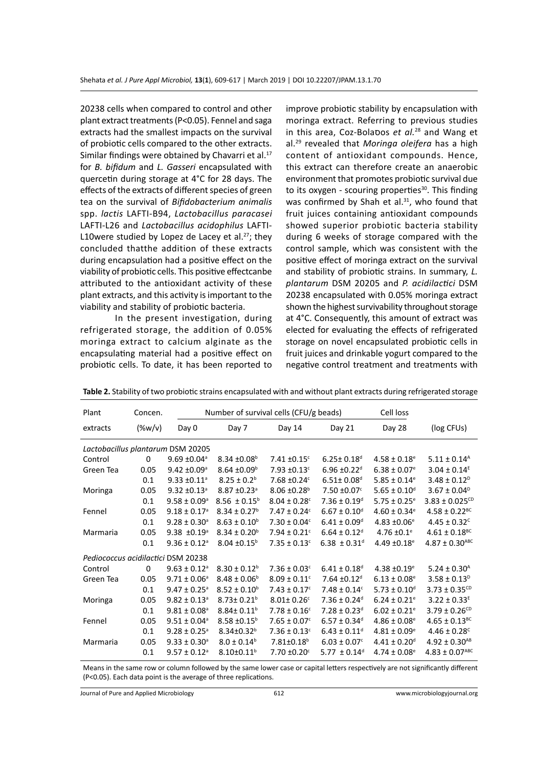20238 cells when compared to control and other plant extract treatments (P<0.05). Fennel and saga extracts had the smallest impacts on the survival of probiotic cells compared to the other extracts. Similar findings were obtained by Chavarri et al.<sup>17</sup> for *B. bifidum* and *L. Gasseri* encapsulated with quercetin during storage at 4°C for 28 days. The effects of the extracts of different species of green tea on the survival of *Bifidobacterium animalis* spp. *lactis* LAFTI-B94, *Lactobacillus paracasei* LAFTI-L26 and *Lactobacillus acidophilus* LAFTI-L10were studied by Lopez de Lacey et al.<sup>27</sup>; they concluded thatthe addition of these extracts during encapsulation had a positive effect on the viability of probiotic cells. This positive effectcanbe attributed to the antioxidant activity of these plant extracts, and this activity is important to the viability and stability of probiotic bacteria.

In the present investigation, during refrigerated storage, the addition of 0.05% moringa extract to calcium alginate as the encapsulating material had a positive effect on probiotic cells. To date, it has been reported to improve probiotic stability by encapsulation with moringa extract. Referring to previous studies in this area, Coz-Bolaסos *et al.*28 and Wang et al.29 revealed that *Moringa oleifera* has a high content of antioxidant compounds. Hence, this extract can therefore create an anaerobic environment that promotes probiotic survival due to its oxygen - scouring properties $30$ . This finding was confirmed by Shah et al. $31$ , who found that fruit juices containing antioxidant compounds showed superior probiotic bacteria stability during 6 weeks of storage compared with the control sample, which was consistent with the positive effect of moringa extract on the survival and stability of probiotic strains. In summary, *L. plantarum* DSM 20205 and *P. acidilactici* DSM 20238 encapsulated with 0.05% moringa extract shown the highest survivability throughout storage at 4°C. Consequently, this amount of extract was elected for evaluating the effects of refrigerated storage on novel encapsulated probiotic cells in fruit juices and drinkable yogurt compared to the negative control treatment and treatments with

| Plant                              | Concen.   |                              | Number of survival cells (CFU/g beads) |                              |                              | Cell loss                    |                                |  |  |
|------------------------------------|-----------|------------------------------|----------------------------------------|------------------------------|------------------------------|------------------------------|--------------------------------|--|--|
| extracts                           | $(\%w/v)$ | Day 0                        | Day 7                                  | Day 14                       | Day 21                       | Day 28                       | (log CFUs)                     |  |  |
| Lactobacillus plantarum DSM 20205  |           |                              |                                        |                              |                              |                              |                                |  |  |
| Control                            | 0         | $9.69 \pm 0.04$ <sup>a</sup> | $8.34 \pm 0.08^{\circ}$                | $7.41 \pm 0.15$ <sup>c</sup> | $6.25 \pm 0.18$ <sup>d</sup> | $4.58 \pm 0.18$ <sup>e</sup> | $5.11 \pm 0.14^{\text{A}}$     |  |  |
| Green Tea                          | 0.05      | $9.42 \pm 0.09$ <sup>a</sup> | $8.64 \pm 0.09^{\circ}$                | $7.93 \pm 0.13$ <sup>c</sup> | $6.96 \pm 0.22$ <sup>d</sup> | $6.38 \pm 0.07$ <sup>e</sup> | $3.04 \pm 0.14^E$              |  |  |
|                                    | 0.1       | $9.33 \pm 0.11$ <sup>a</sup> | $8.25 \pm 0.2^b$                       | 7.68 ±0.24°                  | $6.51 \pm 0.08$ <sup>d</sup> | $5.85 \pm 0.14$ <sup>e</sup> | $3.48 \pm 0.12^p$              |  |  |
| Moringa                            | 0.05      | $9.32 \pm 0.13$ <sup>a</sup> | $8.87 \pm 0.23$ <sup>a</sup>           | $8.06 \pm 0.28^{\circ}$      | $7.50 \pm 0.07$ <sup>c</sup> | $5.65 \pm 0.10^{\circ}$      | $3.67 \pm 0.04^{\circ}$        |  |  |
|                                    | 0.1       | $9.58 \pm 0.09^{\circ}$      | $8.56 \pm 0.15^b$                      | $8.04 \pm 0.28$ c            | $7.36 \pm 0.19$ <sup>d</sup> | $5.75 \pm 0.25$ <sup>e</sup> | $3.83 \pm 0.025^{CD}$          |  |  |
| Fennel                             | 0.05      | $9.18 \pm 0.17$ <sup>a</sup> | $8.34 \pm 0.27^b$                      | $7.47 \pm 0.24$ c            | $6.67 \pm 0.10$ <sup>d</sup> | $4.60 \pm 0.34$ <sup>e</sup> | $4.58 \pm 0.22$ <sup>BC</sup>  |  |  |
|                                    | 0.1       | $9.28 \pm 0.30^{\circ}$      | $8.63 \pm 0.10^b$                      | $7.30 \pm 0.04^{\circ}$      | $6.41 \pm 0.09$ <sup>d</sup> | $4.83 \pm 0.06$ <sup>e</sup> | $4.45 \pm 0.32^{\circ}$        |  |  |
| Marmaria                           | 0.05      | $9.38 \pm 0.19$ <sup>a</sup> | $8.34 \pm 0.20^{\circ}$                | $7.94 \pm 0.21$ <sup>c</sup> | $6.64 \pm 0.12$ <sup>d</sup> | $4.76 \pm 0.1$ <sup>e</sup>  | $4.61 \pm 0.18$ <sup>BC</sup>  |  |  |
|                                    | 0.1       | $9.36 \pm 0.12$ <sup>a</sup> | $8.04 \pm 0.15^{\circ}$                | $7.35 \pm 0.13$ <sup>c</sup> | 6.38 $\pm$ 0.31 <sup>d</sup> | 4.49 $\pm$ 0.18 $\rm{e}$     | $4.87 \pm 0.30$ <sup>ABC</sup> |  |  |
| Pediococcus acidilactici DSM 20238 |           |                              |                                        |                              |                              |                              |                                |  |  |
| Control                            | 0         | $9.63 \pm 0.12$ <sup>a</sup> | $8.30 \pm 0.12^b$                      | $7.36 \pm 0.03$ <sup>c</sup> | $6.41 \pm 0.18$ <sup>d</sup> | $4.38 \pm 0.19$ <sup>e</sup> | $5.24 \pm 0.30^{\text{A}}$     |  |  |
| Green Tea                          | 0.05      | $9.71 \pm 0.06^{\circ}$      | $8.48 \pm 0.06^b$                      | $8.09 \pm 0.11$ <sup>c</sup> | $7.64 \pm 0.12$ <sup>d</sup> | $6.13 \pm 0.08$ <sup>e</sup> | $3.58 \pm 0.13^{\circ}$        |  |  |
|                                    | 0.1       | $9.47 \pm 0.25$ <sup>a</sup> | $8.52 \pm 0.10^b$                      | $7.43 \pm 0.17$ <sup>c</sup> | $7.48 \pm 0.14$ <sup>c</sup> | $5.73 \pm 0.10^{\circ}$      | $3.73 \pm 0.35^{CD}$           |  |  |
| Moringa                            | 0.05      | $9.82 \pm 0.13$ <sup>a</sup> | $8.73 \pm 0.21$ <sup>b</sup>           | $8.01 \pm 0.26$ <sup>c</sup> | $7.36 \pm 0.24$ <sup>d</sup> | $6.24 \pm 0.21$ <sup>e</sup> | $3.22 \pm 0.33^E$              |  |  |
|                                    | 0.1       | $9.81 \pm 0.08$ <sup>a</sup> | $8.84 \pm 0.11^b$                      | $7.78 \pm 0.16^c$            | $7.28 \pm 0.23$ <sup>d</sup> | $6.02 \pm 0.21$ <sup>e</sup> | $3.79 \pm 0.26^{CD}$           |  |  |
| Fennel                             | 0.05      | $9.51 \pm 0.04^{\circ}$      | $8.58 \pm 0.15^{\circ}$                | $7.65 \pm 0.07$ <sup>c</sup> | $6.57 \pm 0.34$ <sup>d</sup> | $4.86 \pm 0.08$ <sup>e</sup> | $4.65 \pm 0.13$ <sup>BC</sup>  |  |  |
|                                    | 0.1       | $9.28 \pm 0.25$ <sup>a</sup> | $8.34 \pm 0.32^b$                      | $7.36 \pm 0.13$ <sup>c</sup> | $6.43 \pm 0.11$ <sup>d</sup> | $4.81 \pm 0.09^{\circ}$      | $4.46 \pm 0.28$ <sup>c</sup>   |  |  |
| Marmaria                           | 0.05      | $9.33 \pm 0.30^{\circ}$      | $8.0 \pm 0.14^b$                       | $7.81 \pm 0.18$ <sup>b</sup> | $6.03 \pm 0.07$ <sup>c</sup> | $4.41 \pm 0.20$ <sup>d</sup> | $4.92 \pm 0.30^{AB}$           |  |  |
|                                    | 0.1       | $9.57 \pm 0.12$ <sup>a</sup> | $8.10 \pm 0.11$ <sup>b</sup>           | $7.70 \pm 0.20$ <sup>c</sup> | 5.77 $\pm$ 0.14 <sup>d</sup> | $4.74 \pm 0.08$ <sup>e</sup> | $4.83 \pm 0.07$ <sup>ABC</sup> |  |  |

**Table 2.** Stability of two probiotic strains encapsulated with and without plant extracts during refrigerated storage

Means in the same row or column followed by the same lower case or capital letters respectively are not significantly different (P<0.05). Each data point is the average of three replications.

Journal of Pure and Applied Microbiology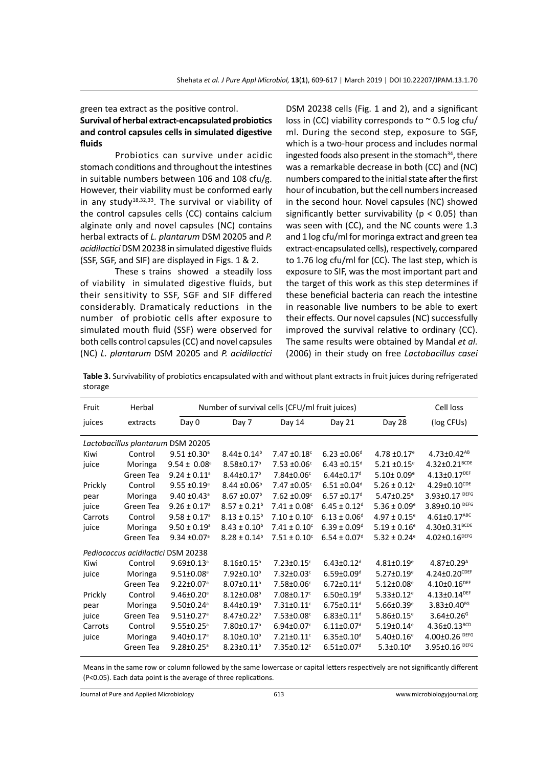#### green tea extract as the positive control. **Survival of herbal extract-encapsulated probiotics and control capsules cells in simulated digestive fluids**

Probiotics can survive under acidic stomach conditions and throughout the intestines in suitable numbers between 106 and 108 cfu/g. However, their viability must be conformed early in any study<sup>18,32,33</sup>. The survival or viability of the control capsules cells (CC) contains calcium alginate only and novel capsules (NC) contains herbal extracts of *L. plantarum* DSM 20205 and *P. acidilactici* DSM 20238 in simulated digestive fluids (SSF, SGF, and SIF) are displayed in Figs. 1 & 2.

These s trains showed a steadily loss of viability in simulated digestive fluids, but their sensitivity to SSF, SGF and SIF differed considerably. Dramaticaly reductions in the number of probiotic cells after exposure to simulated mouth fluid (SSF) were observed for both cells control capsules (CC) and novel capsules (NC) *L. plantarum* DSM 20205 and *P. acidilactici* DSM 20238 cells (Fig. 1 and 2), and a significant loss in (CC) viability corresponds to  $\sim$  0.5 log cfu/ ml. During the second step, exposure to SGF, which is a two-hour process and includes normal ingested foods also present in the stomach $34$ , there was a remarkable decrease in both (CC) and (NC) numbers compared to the initial state after the first hour of incubation, but the cell numbers increased in the second hour. Novel capsules (NC) showed significantly better survivability ( $p < 0.05$ ) than was seen with (CC), and the NC counts were 1.3 and 1 log cfu/ml for moringa extract and green tea extract-encapsulated cells), respectively, compared to 1.76 log cfu/ml for (CC). The last step, which is exposure to SIF, was the most important part and the target of this work as this step determines if these beneficial bacteria can reach the intestine in reasonable live numbers to be able to exert their effects. Our novel capsules (NC) successfully improved the survival relative to ordinary (CC). The same results were obtained by Mandal *et al.* (2006) in their study on free *Lactobacillus casei*

**Table 3.** Survivability of probiotics encapsulated with and without plant extracts in fruit juices during refrigerated storage

| Fruit                              | Herbal    |                              | Number of survival cells (CFU/ml fruit juices) |                              |                              |                              |                                |  |
|------------------------------------|-----------|------------------------------|------------------------------------------------|------------------------------|------------------------------|------------------------------|--------------------------------|--|
| juices                             | extracts  | Day 0                        | Day 7                                          | Day 14                       | Day 21                       | Day 28                       | (log CFUs)                     |  |
| Lactobacillus plantarum DSM 20205  |           |                              |                                                |                              |                              |                              |                                |  |
| Kiwi                               | Control   | $9.51 \pm 0.30^{\circ}$      | $8.44 \pm 0.14^b$                              | $7.47 \pm 0.18$ °            | $6.23 \pm 0.06$ <sup>d</sup> | $4.78 \pm 0.17$ <sup>e</sup> | $4.73 \pm 0.42$ <sup>AB</sup>  |  |
| juice                              | Moringa   | $9.54 \pm 0.08$ <sup>a</sup> | $8.58 \pm 0.17^b$                              | $7.53 \pm 0.06$ <sup>c</sup> | $6.43 \pm 0.15$ <sup>d</sup> | $5.21 \pm 0.15$ <sup>e</sup> | $4.32 \pm 0.21^{\text{BCDE}}$  |  |
|                                    | Green Tea | $9.24 \pm 0.11^a$            | $8.44 \pm 0.17$ <sup>b</sup>                   | 7.84±0.06°                   | $6.44 \pm 0.17$ <sup>d</sup> | $5.10 \pm 0.09$ <sup>e</sup> | $4.13 \pm 0.17^{DEF}$          |  |
| Prickly                            | Control   | $9.55 \pm 0.19$ <sup>a</sup> | $8.44 \pm 0.06^{\circ}$                        | $7.47 \pm 0.05$ <sup>c</sup> | $6.51 \pm 0.04$ <sup>d</sup> | $5.26 \pm 0.12$ <sup>e</sup> | $4.29 \pm 0.10^{CDE}$          |  |
| pear                               | Moringa   | $9.40 \pm 0.43$ <sup>a</sup> | $8.67 \pm 0.07^b$                              | $7.62 \pm 0.09$ <sup>c</sup> | $6.57 \pm 0.17$ <sup>d</sup> | $5.47 \pm 0.25$ <sup>e</sup> | 3.93±0.17 DEFG                 |  |
| juice                              | Green Tea | $9.26 \pm 0.17$ <sup>a</sup> | $8.57 \pm 0.21^b$                              | $7.41 \pm 0.08$ <sup>c</sup> | $6.45 \pm 0.12$ <sup>d</sup> | $5.36 \pm 0.09$ <sup>e</sup> | $3.89 \pm 0.10$ DEFG           |  |
| Carrots                            | Control   | $9.58 \pm 0.17$ <sup>a</sup> | $8.13 \pm 0.15^b$                              | $7.10 \pm 0.10^c$            | $6.13 \pm 0.06^d$            | $4.97 \pm 0.15$ <sup>e</sup> | $4.61 \pm 0.17$ <sup>ABC</sup> |  |
| juice                              | Moringa   | $9.50 \pm 0.19^{\circ}$      | $8.43 \pm 0.10^b$                              | $7.41 \pm 0.10^c$            | $6.39 \pm 0.09$ <sup>d</sup> | $5.19 \pm 0.16$ <sup>e</sup> | 4.30±0.31 <sup>BCDE</sup>      |  |
|                                    | Green Tea | $9.34 \pm 0.07$ <sup>a</sup> | $8.28 \pm 0.14^b$                              | $7.51 \pm 0.10^c$            | $6.54 \pm 0.07$ <sup>d</sup> | $5.32 \pm 0.24$ <sup>e</sup> | $4.02 \pm 0.16^{DEFG}$         |  |
| Pediococcus acidilactici DSM 20238 |           |                              |                                                |                              |                              |                              |                                |  |
| Kiwi                               | Control   | $9.69 \pm 0.13$ <sup>a</sup> | $8.16 \pm 0.15^b$                              | $7.23 \pm 0.15$ <sup>c</sup> | $6.43 \pm 0.12$ <sup>d</sup> | $4.81 \pm 0.19$ <sup>e</sup> | $4.87 \pm 0.29$ <sup>A</sup>   |  |
| juice                              | Moringa   | $9.51 \pm 0.08$ <sup>a</sup> | 7.92±0.10 <sup>b</sup>                         | $7.32 \pm 0.03$ <sup>c</sup> | $6.59 \pm 0.09$ <sup>d</sup> | $5.27 \pm 0.19$ <sup>e</sup> | $4.24 \pm 0.20$ CDEF           |  |
|                                    | Green Tea | $9.22 \pm 0.07$ <sup>a</sup> | $8.07 \pm 0.11^b$                              | 7.58±0.06c                   | $6.72 \pm 0.11$ <sup>d</sup> | $5.12 \pm 0.08$ <sup>e</sup> | $4.10 \pm 0.16^{DEF}$          |  |
| Prickly                            | Control   | $9.46 \pm 0.20$ <sup>a</sup> | $8.12 \pm 0.08$ <sup>b</sup>                   | $7.08 \pm 0.17$ <sup>c</sup> | $6.50 \pm 0.19$ <sup>d</sup> | $5.33 \pm 0.12$ <sup>e</sup> | $4.13 \pm 0.14^{DEF}$          |  |
| pear                               | Moringa   | $9.50 \pm 0.24$ <sup>a</sup> | $8.44 \pm 0.19^b$                              | $7.31 \pm 0.11$ <sup>c</sup> | $6.75 \pm 0.11$ <sup>d</sup> | $5.66 \pm 0.39$ <sup>e</sup> | 3.83±0.40FG                    |  |
| juice                              | Green Tea | $9.51 \pm 0.27$ <sup>a</sup> | $8.47 \pm 0.22^b$                              | $7.53 \pm 0.08$ <sup>c</sup> | $6.83 \pm 0.11$ <sup>d</sup> | $5.86 \pm 0.15$ <sup>e</sup> | $3.64 \pm 0.26$ <sup>G</sup>   |  |
| Carrots                            | Control   | $9.55 \pm 0.25$ <sup>a</sup> | 7.80±0.17 <sup>b</sup>                         | $6.94 \pm 0.07$ <sup>c</sup> | $6.11 \pm 0.07$ <sup>d</sup> | $5.19 \pm 0.14$ <sup>e</sup> | 4.36±0.13BCD                   |  |
| juice                              | Moringa   | $9.40 \pm 0.17$ <sup>a</sup> | $8.10 \pm 0.10^b$                              | $7.21 \pm 0.11$ <sup>c</sup> | $6.35 \pm 0.10$ <sup>d</sup> | $5.40 \pm 0.16$ <sup>e</sup> | $4.00 \pm 0.26$ DEFG           |  |
|                                    | Green Tea | $9.28 \pm 0.25$ <sup>a</sup> | $8.23 \pm 0.11^b$                              | $7.35 \pm 0.12$ <sup>c</sup> | $6.51 \pm 0.07$ <sup>d</sup> | $5.3 \pm 0.10^e$             | $3.95 \pm 0.16$ DEFG           |  |
|                                    |           |                              |                                                |                              |                              |                              |                                |  |

Means in the same row or column followed by the same lowercase or capital letters respectively are not significantly different (P<0.05). Each data point is the average of three replications.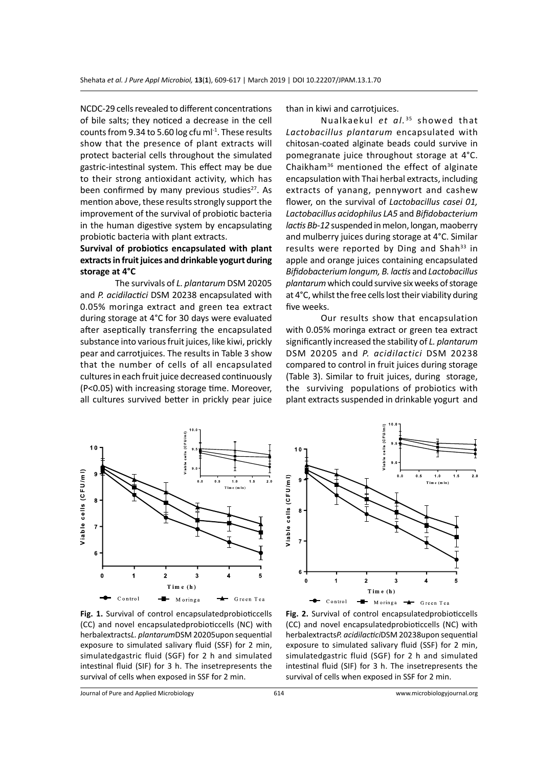NCDC-29 cells revealed to different concentrations of bile salts; they noticed a decrease in the cell counts from 9.34 to 5.60 log cfu ml<sup>-1</sup>. These results show that the presence of plant extracts will protect bacterial cells throughout the simulated gastric-intestinal system. This effect may be due to their strong antioxidant activity, which has been confirmed by many previous studies<sup>27</sup>. As mention above, these results strongly support the improvement of the survival of probiotic bacteria in the human digestive system by encapsulating probiotic bacteria with plant extracts.

## **Survival of probiotics encapsulated with plant extracts in fruit juices and drinkable yogurt during storage at 4°C**

The survivals of *L. plantarum* DSM 20205 and *P. acidilactici* DSM 20238 encapsulated with 0.05% moringa extract and green tea extract during storage at 4°C for 30 days were evaluated after aseptically transferring the encapsulated substance into various fruit juices, like kiwi, prickly pear and carrotjuices. The results in Table 3 show that the number of cells of all encapsulated cultures in each fruit juice decreased continuously (P<0.05) with increasing storage time. Moreover, all cultures survived better in prickly pear juice than in kiwi and carrotjuices.

Nualkaekul *et al.*<sup>35</sup> showed that *Lactobacillus plantarum* encapsulated with chitosan-coated alginate beads could survive in pomegranate juice throughout storage at 4°C. Chaikham36 mentioned the effect of alginate encapsulation with Thai herbal extracts, including extracts of yanang, pennywort and cashew flower, on the survival of *Lactobacillus casei 01, Lactobacillus acidophilus LA5* and *Bifidobacterium lactis Bb-12* suspended in melon, longan, maoberry and mulberry juices during storage at 4°C. Similar results were reported by Ding and Shah $33$  in apple and orange juices containing encapsulated *Bifidobacterium longum, B. lactis* and *Lactobacillus plantarum* which could survive six weeks of storage at 4°C, whilst the free cells lost their viability during five weeks.

Our results show that encapsulation with 0.05% moringa extract or green tea extract significantly increased the stability of *L. plantarum*  DSM 20205 and *P. acidilactici* DSM 20238 compared to control in fruit juices during storage (Table 3). Similar to fruit juices, during storage, the surviving populations of probiotics with plant extracts suspended in drinkable yogurt and



**Fig. 1.** Survival of control encapsulatedprobioticcells (CC) and novel encapsulatedprobioticcells (NC) with herbalextracts*L. plantarum*DSM 20205upon sequential exposure to simulated salivary fluid (SSF) for 2 min, simulatedgastric fluid (SGF) for 2 h and simulated intestinal fluid (SIF) for 3 h. The insetrepresents the survival of cells when exposed in SSF for 2 min.



**Fig. 2.** Survival of control encapsulatedprobioticcells (CC) and novel encapsulatedprobioticcells (NC) with herbalextracts*P. acidilactici*DSM 20238upon sequential exposure to simulated salivary fluid (SSF) for 2 min, simulatedgastric fluid (SGF) for 2 h and simulated intestinal fluid (SIF) for 3 h. The insetrepresents the survival of cells when exposed in SSF for 2 min.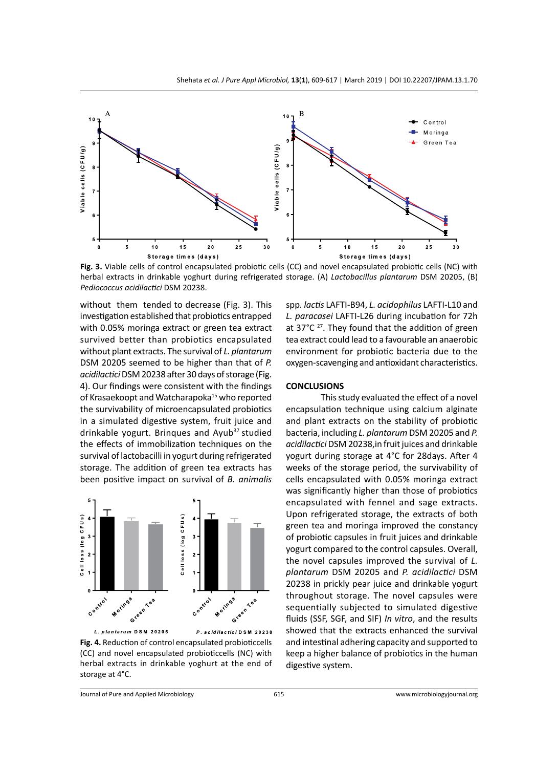

**Fig. 3.** Viable cells of control encapsulated probiotic cells (CC) and novel encapsulated probiotic cells (NC) with herbal extracts in drinkable yoghurt during refrigerated storage. (A) *Lactobacillus plantarum* DSM 20205, (B) *Pediococcus acidilactici* DSM 20238.

without them tended to decrease (Fig. 3). This investigation established that probiotics entrapped with 0.05% moringa extract or green tea extract survived better than probiotics encapsulated without plant extracts. The survival of *L. plantarum* DSM 20205 seemed to be higher than that of *P. acidilactici* DSM 20238 after 30 days of storage (Fig. 4). Our findings were consistent with the findings of Krasaekoopt and Watcharapoka<sup>15</sup> who reported the survivability of microencapsulated probiotics in a simulated digestive system, fruit juice and drinkable yogurt. Brinques and Ayub<sup>37</sup> studied the effects of immobilization techniques on the survival of lactobacilli in yogurt during refrigerated storage. The addition of green tea extracts has been positive impact on survival of *B. animalis* 



**Fig. 4.** Reduction of control encapsulated probioticcells (CC) and novel encapsulated probioticcells (NC) with herbal extracts in drinkable yoghurt at the end of storage at 4°C.

spp*. lactis* LAFTI-B94, *L. acidophilus* LAFTI-L10 and *L. paracasei* LAFTI-L26 during incubation for 72h at  $37^{\circ}$ C <sup>27</sup>. They found that the addition of green tea extract could lead to a favourable an anaerobic environment for probiotic bacteria due to the oxygen-scavenging and antioxidant characteristics.

#### **CONCLUSIONS**

This study evaluated the effect of a novel encapsulation technique using calcium alginate and plant extracts on the stability of probiotic bacteria, including *L. plantarum* DSM 20205 and *P. acidilactici* DSM 20238,in fruit juices and drinkable yogurt during storage at 4°C for 28days. After 4 weeks of the storage period, the survivability of cells encapsulated with 0.05% moringa extract was significantly higher than those of probiotics encapsulated with fennel and sage extracts. Upon refrigerated storage, the extracts of both green tea and moringa improved the constancy of probiotic capsules in fruit juices and drinkable yogurt compared to the control capsules. Overall, the novel capsules improved the survival of *L. plantarum* DSM 20205 and *P. acidilactici* DSM 20238 in prickly pear juice and drinkable yogurt throughout storage. The novel capsules were sequentially subjected to simulated digestive fluids (SSF, SGF, and SIF) *In vitro*, and the results showed that the extracts enhanced the survival and intestinal adhering capacity and supported to keep a higher balance of probiotics in the human digestive system.

Journal of Pure and Applied Microbiology 615 www.microbiologyjournal.org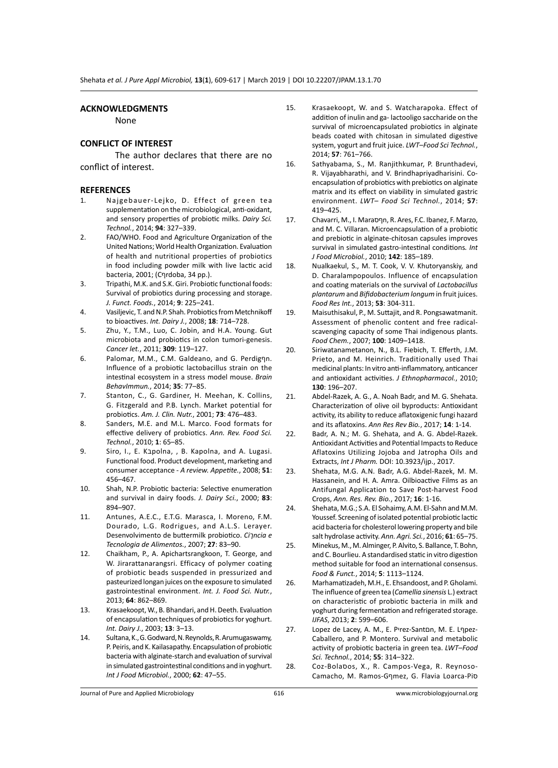#### **ACKNOWLEDGMENTS**

None

#### **CONFLICT OF INTEREST**

The author declares that there are no conflict of interest.

#### **REFERENCES**

- 1. Najgebauer-Lejko, D. Effect of green tea supplementation on the microbiological, anti-oxidant, and sensory properties of probiotic milks. *Dairy Sci. Technol.*, 2014; **94**: 327–339.
- 2. FAO/WHO. Food and Agriculture Organization of the United Nations; World Health Organization. Evaluation of health and nutritional properties of probiotics in food including powder milk with live lactic acid bacteria, 2001; (Cףrdoba, 34 pp.).
- 3. Tripathi, M.K. and S.K. Giri. Probiotic functional foods: Survival of probiotics during processing and storage. *J. Funct. Foods.*, 2014; **9**: 225–241.
- 4. Vasiljevic, T. and N.P. Shah. Probiotics from Metchnikoff to bioactives. *Int. Dairy J.*, 2008; **18**: 714–728.
- 5. Zhu, Y., T.M., Luo, C. Jobin, and H.A. Young. Gut microbiota and probiotics in colon tumori-genesis. *Cancer let.*, 2011; **309**: 119–127.
- 6. Palomar, M.M., C.M. Galdeano, and G. Perdigףn. Influence of a probiotic lactobacillus strain on the intestinal ecosystem in a stress model mouse. *Brain BehavImmun.*, 2014; **35**: 77–85.
- 7. Stanton, C., G. Gardiner, H. Meehan, K. Collins, G. Fitzgerald and P.B. Lynch. Market potential for probiotics. *Am. J. Clin. Nutr.*, 2001; **73**: 476–483.
- 8. Sanders, M.E. and M.L. Marco. Food formats for effective delivery of probiotics. *Ann. Rev. Food Sci. Technol.*, 2010; **1**: 65–85.
- 9. Siro, I., E. Kapolna, , B. Kapolna, and A. Lugasi. Functional food. Product development, marketing and consumer acceptance - *A review. Appetite.*, 2008; **51**: 456–467.
- 10. Shah, N.P. Probiotic bacteria: Selective enumeration and survival in dairy foods. *J. Dairy Sci.*, 2000; **83**: 894–907.
- 11. Antunes, A.E.C., E.T.G. Marasca, I. Moreno, F.M. Dourado, L.G. Rodrigues, and A.L.S. Lerayer. Desenvolvimento de buttermilk probiotico. *Ciךncia e Tecnologia de Alimentos.*, 2007; **27**: 83–90.
- 12. Chaikham, P., A. Apichartsrangkoon, T. George, and W. Jirarattanarangsri. Efficacy of polymer coating of probiotic beads suspended in pressurized and pasteurized longan juices on the exposure to simulated gastrointestinal environment. *Int. J. Food Sci. Nutr.*, 2013; **64**: 862–869.
- 13. Krasaekoopt, W., B. Bhandari, and H. Deeth. Evaluation of encapsulation techniques of probiotics for yoghurt. *Int. Dairy J.*, 2003; **13**: 3–13.
- 14. Sultana, K., G. Godward, N. Reynolds, R. Arumugaswamy, P. Peiris, and K. Kailasapathy. Encapsulation of probiotic bacteria with alginate-starch and evaluation of survival in simulated gastrointestinal conditions and in yoghurt. *Int J Food Microbiol.*, 2000; **62**: 47–55.
- 15. Krasaekoopt, W. and S. Watcharapoka. Effect of addition of inulin and ga- lactooligo saccharide on the survival of microencapsulated probiotics in alginate beads coated with chitosan in simulated digestive system, yogurt and fruit juice. *LWT–Food Sci Technol.*, 2014; **57**: 761–766.
- 16. Sathyabama, S., M. Ranjithkumar, P. Brunthadevi, R. Vijayabharathi, and V. Brindhapriyadharisini. Coencapsulation of probiotics with prebiotics on alginate matrix and its effect on viability in simulated gastric environment. *LWT– Food Sci Technol.*, 2014; **57**: 419–425.
- 17. Chavarri, M., I. Maraףסn, R. Ares, F.C. Ibanez, F. Marzo, and M. C. Villaran. Microencapsulation of a probiotic and prebiotic in alginate-chitosan capsules improves survival in simulated gastro-intestinal conditions*. Int J Food Microbiol.*, 2010; **142**: 185–189.
- 18. Nualkaekul, S., M. T. Cook, V. V. Khutoryanskiy, and D. Charalampopoulos. Influence of encapsulation and coating materials on the survival of *Lactobacillus plantarum* and *Bifidobacterium longum* in fruit juices. *Food Res Int.*, 2013; **53**: 304-311.
- 19. Maisuthisakul, P., M. Suttajit, and R. Pongsawatmanit. Assessment of phenolic content and free radicalscavenging capacity of some Thai indigenous plants. *Food Chem.*, 2007; **100**: 1409–1418.
- 20. Siriwatanametanon, N., B.L. Fiebich, T. Efferth, J.M. Prieto, and M. Heinrich. Traditionally used Thai medicinal plants: In vitro anti-inflammatory, anticancer and antioxidant activities. *J Ethnopharmacol.*, 2010; **130**: 196–207.
- 21. Abdel-Razek, A. G., A. Noah Badr, and M. G. Shehata. Characterization of olive oil byproducts: Antioxidant activity, its ability to reduce aflatoxigenic fungi hazard and its aflatoxins. *Ann Res Rev Bio.*, 2017; **14**: 1-14.
- 22. Badr, A. N.; M. G. Shehata, and A. G. Abdel-Razek. Antioxidant Activities and Potential Impacts to Reduce Aflatoxins Utilizing Jojoba and Jatropha Oils and Extracts, *Int J Pharm.* DOI: 10.3923/ijp., 2017.
- 23. Shehata, M.G. A.N. Badr, A.G. Abdel-Razek, M. M. Hassanein, and H. A. Amra. Oilbioactive Films as an Antifungal Application to Save Post-harvest Food Crops, *Ann. Res. Rev. Bio.*, 2017; **16**: 1-16.
- 24. Shehata, M.G.; S.A. El Sohaimy, A.M. El-Sahn and M.M. Youssef. Screening of isolated potential probiotic lactic acid bacteria for cholesterol lowering property and bile salt hydrolase activity. *Ann. Agri. Sci.*, 2016; **61**: 65–75.
- 25. Minekus, M., M. Alminger, P. Alvito, S. Ballance, T. Bohn, and C. Bourlieu. A standardised static in vitro digestion method suitable for food an international consensus. *Food & Funct.*, 2014; **5**: 1113–1124.
- 26. Marhamatizadeh, M.H., E. Ehsandoost, and P. Gholami. The influence of green tea (*Camellia sinensis* L.) extract on characteristic of probiotic bacteria in milk and yoghurt during fermentation and refrigerated storage. *IJFAS*, 2013; **2**: 599–606.
- 27. Lopez de Lacey, A. M., E. Pיrez-Santםn, M. E. Lףpez-Caballero, and P. Montero. Survival and metabolic activity of probiotic bacteria in green tea. *LWT–Food Sci. Technol.*, 2014; **55**: 314–322.
- 28. Coz-Bolaסos, X., R. Campos-Vega, R. Reynoso-Camacho, M. Ramos-Gףmez, G. Flavia Loarca-Piס